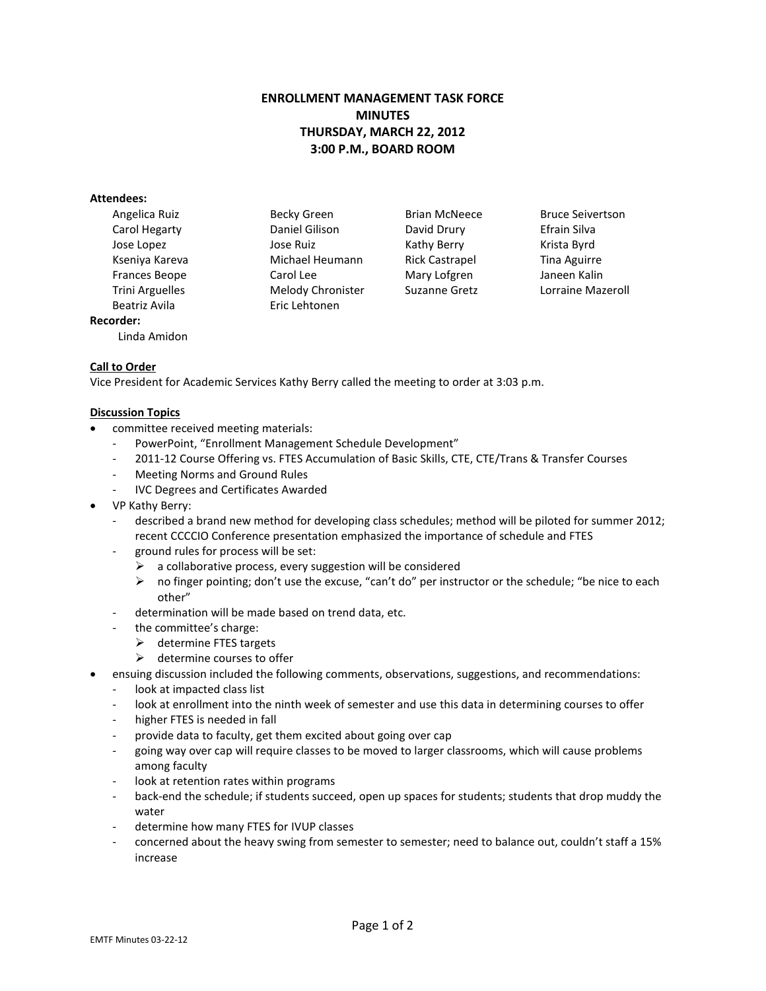# **ENROLLMENT MANAGEMENT TASK FORCE MINUTES THURSDAY, MARCH 22, 2012 3:00 P.M., BOARD ROOM**

### **Attendees:**

Beatriz Avila **Eric Lehtonen Recorder:**

Linda Amidon

Angelica Ruiz **Becky Green** Brian McNeece Bruce Seivertson Carol Hegarty Daniel Gilison David Drury Efrain Silva Jose Lopez Jose Ruiz Kathy Berry Krista Byrd Kseniya Kareva Michael Heumann Rick Castrapel Tina Aguirre Frances Beope Carol Lee Mary Lofgren Janeen Kalin

Trini Arguelles Melody Chronister Suzanne Gretz Lorraine Mazeroll

### **Call to Order**

Vice President for Academic Services Kathy Berry called the meeting to order at 3:03 p.m.

### **Discussion Topics**

- committee received meeting materials:
	- PowerPoint, "Enrollment Management Schedule Development"
	- 2011-12 Course Offering vs. FTES Accumulation of Basic Skills, CTE, CTE/Trans & Transfer Courses
	- Meeting Norms and Ground Rules
	- IVC Degrees and Certificates Awarded
- VP Kathy Berry:
	- described a brand new method for developing class schedules; method will be piloted for summer 2012; recent CCCCIO Conference presentation emphasized the importance of schedule and FTES
	- ground rules for process will be set:
		- $\triangleright$  a collaborative process, every suggestion will be considered
		- $\triangleright$  no finger pointing; don't use the excuse, "can't do" per instructor or the schedule; "be nice to each other"
	- determination will be made based on trend data, etc.
	- the committee's charge:
		- $\triangleright$  determine FTES targets
		- $\triangleright$  determine courses to offer
- ensuing discussion included the following comments, observations, suggestions, and recommendations:
	- look at impacted class list
	- look at enrollment into the ninth week of semester and use this data in determining courses to offer
	- higher FTES is needed in fall
	- provide data to faculty, get them excited about going over cap
	- going way over cap will require classes to be moved to larger classrooms, which will cause problems among faculty
	- look at retention rates within programs
	- back-end the schedule; if students succeed, open up spaces for students; students that drop muddy the water
	- determine how many FTES for IVUP classes
	- concerned about the heavy swing from semester to semester; need to balance out, couldn't staff a 15% increase